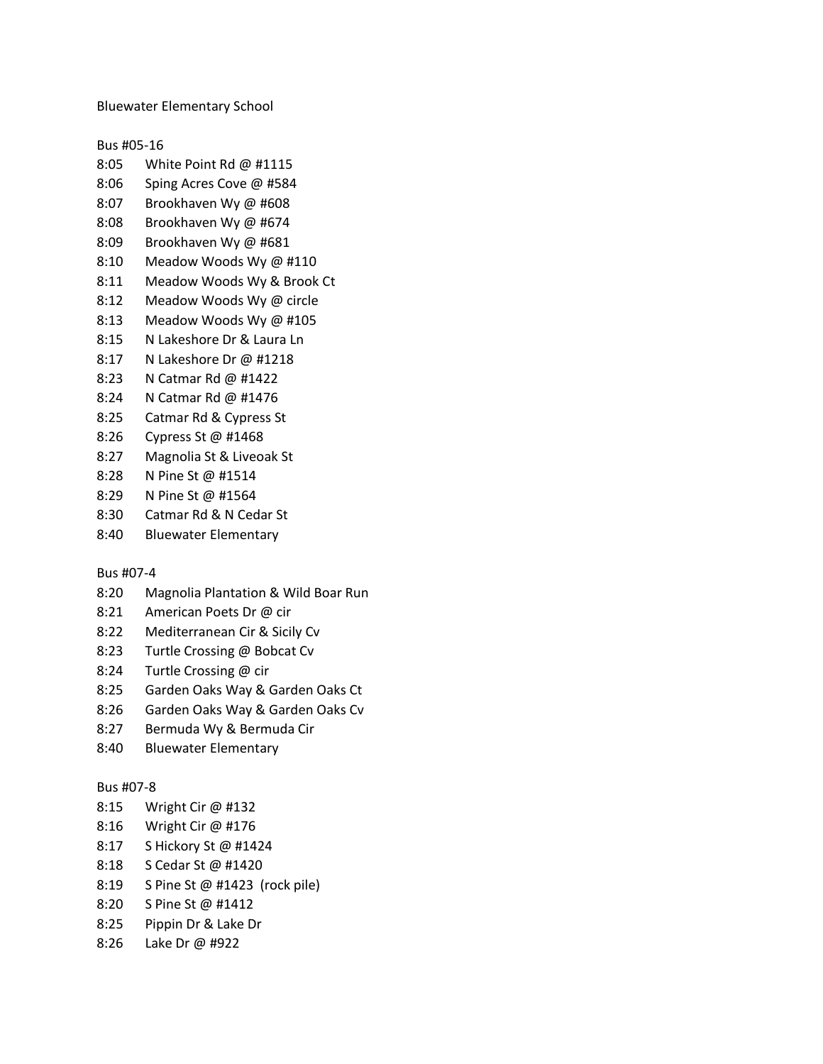Bluewater Elementary School

Bus #05-16

- 8:05 White Point Rd @ #1115
- 8:06 Sping Acres Cove @ #584
- 8:07 Brookhaven Wy @ #608
- 8:08 Brookhaven Wy @ #674
- 8:09 Brookhaven Wy @ #681
- 8:10 Meadow Woods Wy @ #110
- 8:11 Meadow Woods Wy & Brook Ct
- 8:12 Meadow Woods Wy @ circle
- 8:13 Meadow Woods Wy @ #105
- 8:15 N Lakeshore Dr & Laura Ln
- 8:17 N Lakeshore Dr @ #1218
- 8:23 N Catmar Rd @ #1422
- 8:24 N Catmar Rd @ #1476
- 8:25 Catmar Rd & Cypress St
- 8:26 Cypress St @ #1468
- 8:27 Magnolia St & Liveoak St
- 8:28 N Pine St @ #1514
- 8:29 N Pine St @ #1564
- 8:30 Catmar Rd & N Cedar St
- 8:40 Bluewater Elementary

Bus #07-4

- 8:20 Magnolia Plantation & Wild Boar Run
- 8:21 American Poets Dr @ cir
- 8:22 Mediterranean Cir & Sicily Cv
- 8:23 Turtle Crossing @ Bobcat Cv
- 8:24 Turtle Crossing @ cir
- 8:25 Garden Oaks Way & Garden Oaks Ct
- 8:26 Garden Oaks Way & Garden Oaks Cv
- 8:27 Bermuda Wy & Bermuda Cir
- 8:40 Bluewater Elementary

## Bus #07-8

- 8:15 Wright Cir @ #132
- 8:16 Wright Cir @ #176
- 8:17 S Hickory St @ #1424
- 8:18 S Cedar St @ #1420
- 8:19 S Pine St @ #1423 (rock pile)
- 8:20 S Pine St @ #1412
- 8:25 Pippin Dr & Lake Dr
- 8:26 Lake Dr @ #922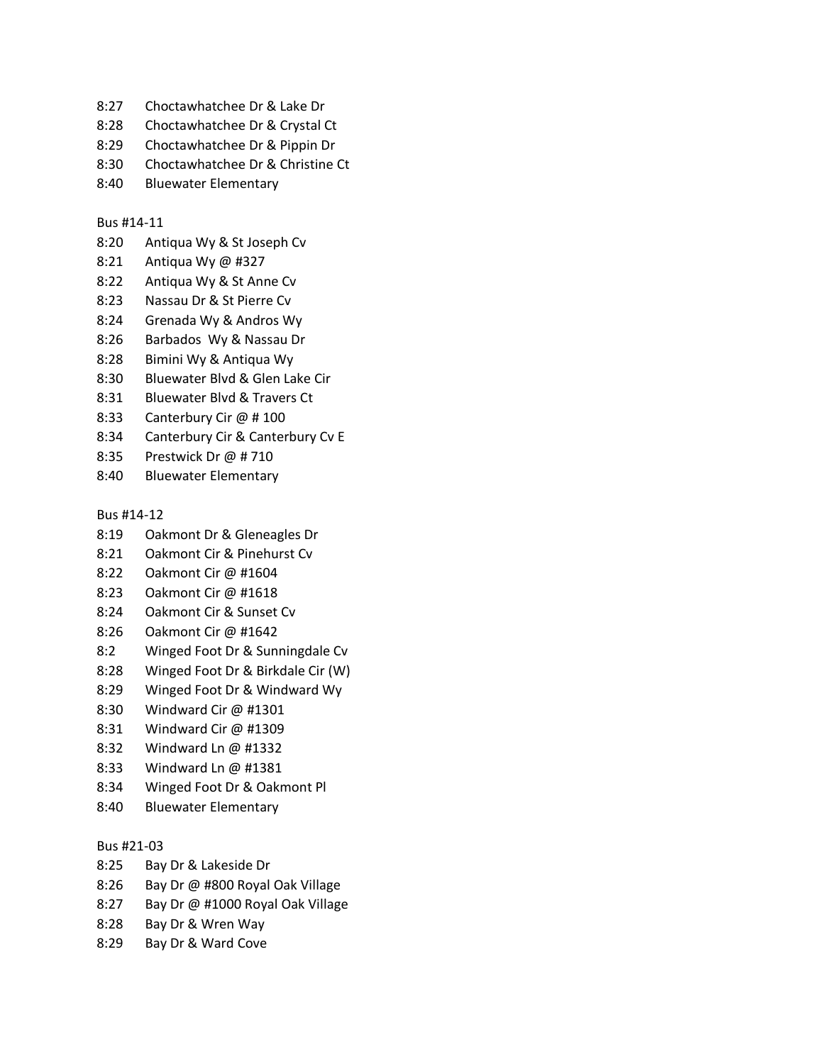- 8:27 Choctawhatchee Dr & Lake Dr
- 8:28 Choctawhatchee Dr & Crystal Ct
- 8:29 Choctawhatchee Dr & Pippin Dr
- 8:30 Choctawhatchee Dr & Christine Ct
- 8:40 Bluewater Elementary

## Bus #14-11

- 8:20 Antiqua Wy & St Joseph Cv
- 8:21 Antiqua Wy @ #327
- 8:22 Antiqua Wy & St Anne Cv
- 8:23 Nassau Dr & St Pierre Cv
- 8:24 Grenada Wy & Andros Wy
- 8:26 Barbados Wy & Nassau Dr
- 8:28 Bimini Wy & Antiqua Wy
- 8:30 Bluewater Blvd & Glen Lake Cir
- 8:31 Bluewater Blvd & Travers Ct
- 8:33 Canterbury Cir @ # 100
- 8:34 Canterbury Cir & Canterbury Cv E
- 8:35 Prestwick Dr @ # 710
- 8:40 Bluewater Elementary

Bus #14-12

- 8:19 Oakmont Dr & Gleneagles Dr
- 8:21 Oakmont Cir & Pinehurst Cv
- 8:22 Oakmont Cir @ #1604
- 8:23 Oakmont Cir @ #1618
- 8:24 Oakmont Cir & Sunset Cv
- 8:26 Oakmont Cir @ #1642
- 8:2 Winged Foot Dr & Sunningdale Cv
- 8:28 Winged Foot Dr & Birkdale Cir (W)
- 8:29 Winged Foot Dr & Windward Wy
- 8:30 Windward Cir @ #1301
- 8:31 Windward Cir @ #1309
- 8:32 Windward Ln @ #1332
- 8:33 Windward Ln @ #1381
- 8:34 Winged Foot Dr & Oakmont Pl
- 8:40 Bluewater Elementary

## Bus #21-03

- 8:25 Bay Dr & Lakeside Dr
- 8:26 Bay Dr @ #800 Royal Oak Village
- 8:27 Bay Dr @ #1000 Royal Oak Village
- 8:28 Bay Dr & Wren Way
- 8:29 Bay Dr & Ward Cove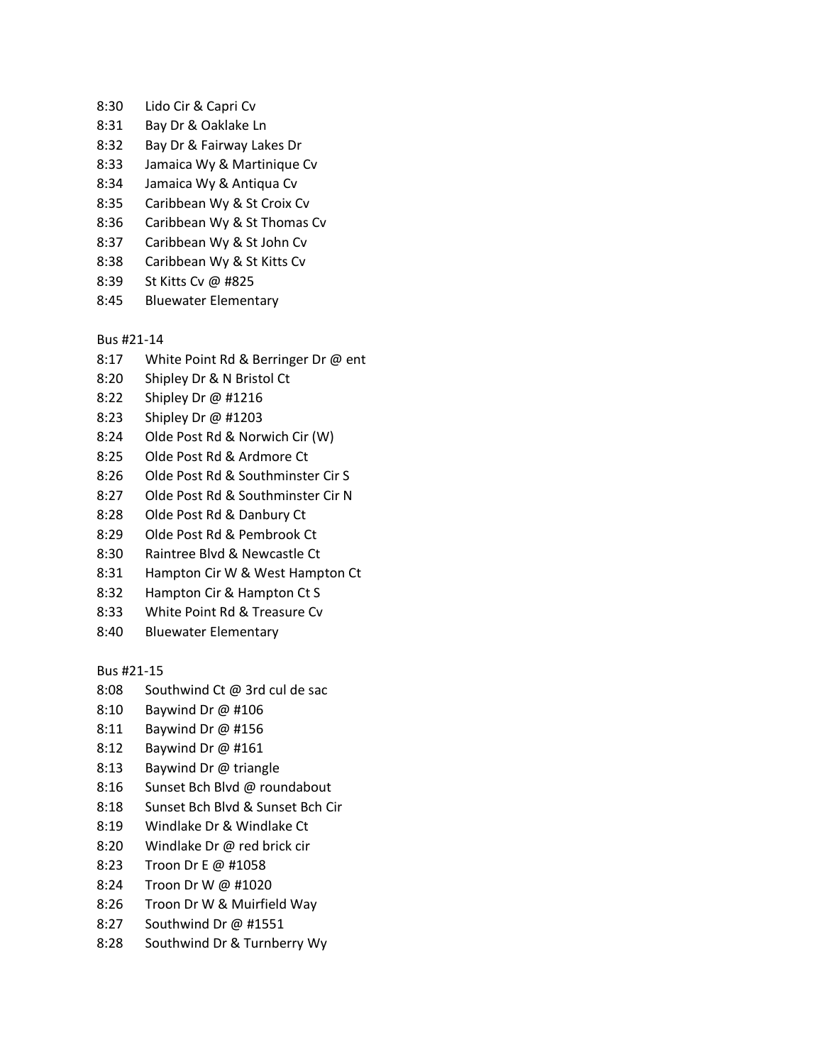- 8:30 Lido Cir & Capri Cv
- 8:31 Bay Dr & Oaklake Ln
- 8:32 Bay Dr & Fairway Lakes Dr
- 8:33 Jamaica Wy & Martinique Cv
- 8:34 Jamaica Wy & Antiqua Cv
- 8:35 Caribbean Wy & St Croix Cv
- 8:36 Caribbean Wy & St Thomas Cv
- 8:37 Caribbean Wy & St John Cv
- 8:38 Caribbean Wy & St Kitts Cv
- 8:39 St Kitts Cv @ #825
- 8:45 Bluewater Elementary

Bus #21-14

- 8:17 White Point Rd & Berringer Dr @ ent
- 8:20 Shipley Dr & N Bristol Ct
- 8:22 Shipley Dr @ #1216
- 8:23 Shipley Dr @ #1203
- 8:24 Olde Post Rd & Norwich Cir (W)
- 8:25 Olde Post Rd & Ardmore Ct
- 8:26 Olde Post Rd & Southminster Cir S
- 8:27 Olde Post Rd & Southminster Cir N
- 8:28 Olde Post Rd & Danbury Ct
- 8:29 Olde Post Rd & Pembrook Ct
- 8:30 Raintree Blvd & Newcastle Ct
- 8:31 Hampton Cir W & West Hampton Ct
- 8:32 Hampton Cir & Hampton Ct S
- 8:33 White Point Rd & Treasure Cv
- 8:40 Bluewater Elementary

Bus #21-15

- 8:08 Southwind Ct @ 3rd cul de sac
- 8:10 Baywind Dr @ #106
- 8:11 Baywind Dr @ #156
- 8:12 Baywind Dr @ #161
- 8:13 Baywind Dr @ triangle
- 8:16 Sunset Bch Blvd @ roundabout
- 8:18 Sunset Bch Blvd & Sunset Bch Cir
- 8:19 Windlake Dr & Windlake Ct
- 8:20 Windlake Dr @ red brick cir
- 8:23 Troon Dr E @ #1058
- 8:24 Troon Dr W @ #1020
- 8:26 Troon Dr W & Muirfield Way
- 8:27 Southwind Dr @ #1551
- 8:28 Southwind Dr & Turnberry Wy